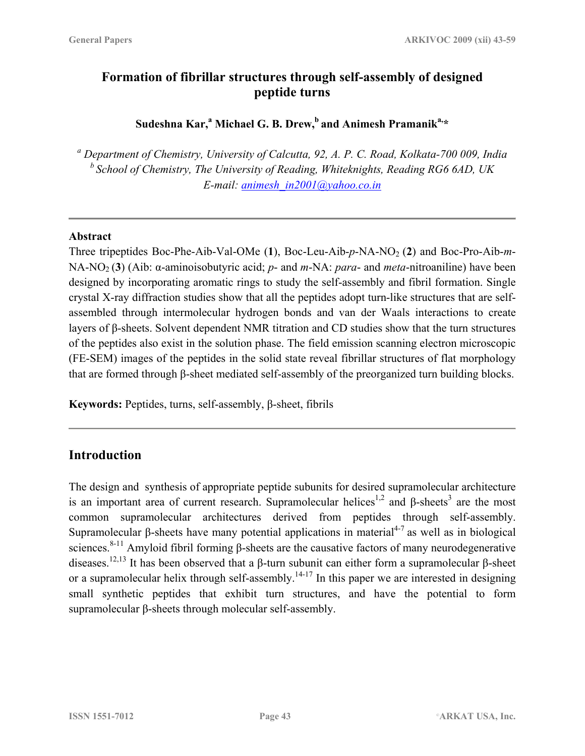# **Formation of fibrillar structures through self-assembly of designed peptide turns**

 $\mathbf S$ udeshna Kar, $\mathbf {^a}$  Michael G. B. Drew, $\mathbf {^b}$  and Animesh Pramanik $\mathbf {^{a,\star}}$ 

*<sup>a</sup> Department of Chemistry, University of Calcutta, 92, A. P. C. Road, Kolkata-700 009, India <sup>b</sup> School of Chemistry, The University of Reading, Whiteknights, Reading RG6 6AD, UK E-mail: [animesh\\_in2001@yahoo.co.in](mailto:animesh_in2001@yahoo.co.in)*

### **Abstract**

Three tripeptides Boc-Phe-Aib-Val-OMe (1), Boc-Leu-Aib-p-NA-NO<sub>2</sub> (2) and Boc-Pro-Aib-m-NA-NO2 (**3**) (Aib: α-aminoisobutyric acid; *p*- and *m*-NA: *para*- and *meta*-nitroaniline) have been designed by incorporating aromatic rings to study the self-assembly and fibril formation. Single crystal X-ray diffraction studies show that all the peptides adopt turn-like structures that are selfassembled through intermolecular hydrogen bonds and van der Waals interactions to create layers of β-sheets. Solvent dependent NMR titration and CD studies show that the turn structures of the peptides also exist in the solution phase. The field emission scanning electron microscopic (FE-SEM) images of the peptides in the solid state reveal fibrillar structures of flat morphology that are formed through β-sheet mediated self-assembly of the preorganized turn building blocks.

**Keywords:** Peptides, turns, self-assembly, β-sheet, fibrils

# **Introduction**

The design and synthesis of appropriate peptide subunits for desired supramolecular architecture is an important area of current research. Supramolecular helices<sup>1,2</sup> and  $\beta$ -sheets<sup>3</sup> are the most common supramolecular architectures derived from peptides through self-assembly. Supramolecular β-sheets have many potential applications in material<sup>4-7</sup> as well as in biological sciences.<sup>8-11</sup> Amyloid fibril forming β-sheets are the causative factors of many neurodegenerative diseases.<sup>12,13</sup> It has been observed that a β-turn subunit can either form a supramolecular β-sheet or a supramolecular helix through self-assembly.<sup>14-17</sup> In this paper we are interested in designing small synthetic peptides that exhibit turn structures, and have the potential to form supramolecular β-sheets through molecular self-assembly.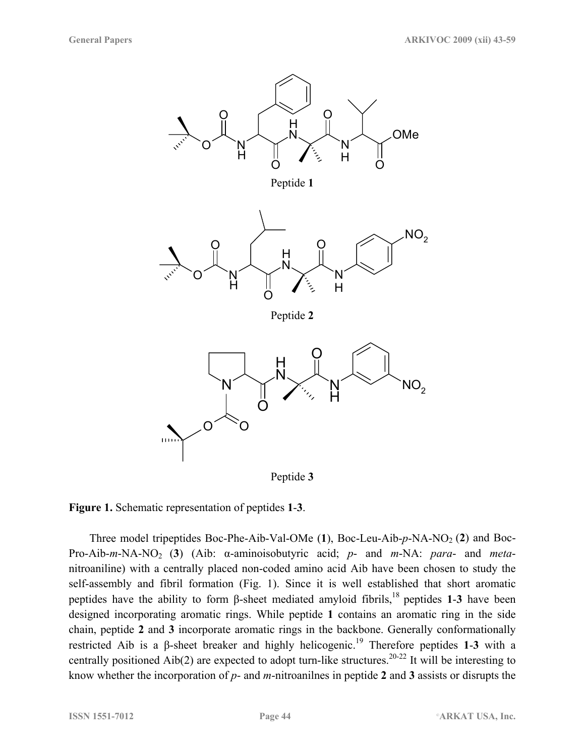

Peptide **3** 

**Figure 1.** Schematic representation of peptides **1**-**3**.

Three model tripeptides Boc-Phe-Aib-Val-OMe  $(1)$ , Boc-Leu-Aib- $p$ -NA-NO<sub>2</sub> (2) and Boc-Pro-Aib-*m*-NA-NO2 (**3**) (Aib: α-aminoisobutyric acid; *p*- and *m*-NA: *para*- and *meta*nitroaniline) with a centrally placed non-coded amino acid Aib have been chosen to study the self-assembly and fibril formation (Fig. 1). Since it is well established that short aromatic peptides have the ability to form  $\beta$ -sheet mediated amyloid fibrils,<sup>18</sup> peptides **1-3** have been designed incorporating aromatic rings. While peptide **1** contains an aromatic ring in the side chain, peptide **2** and **3** incorporate aromatic rings in the backbone. Generally conformationally restricted Aib is a β-sheet breaker and highly helicogenic.19 Therefore peptides **1**-**3** with a centrally positioned Aib(2) are expected to adopt turn-like structures.<sup>20-22</sup> It will be interesting to know whether the incorporation of *p*- and *m*-nitroanilnes in peptide **2** and **3** assists or disrupts the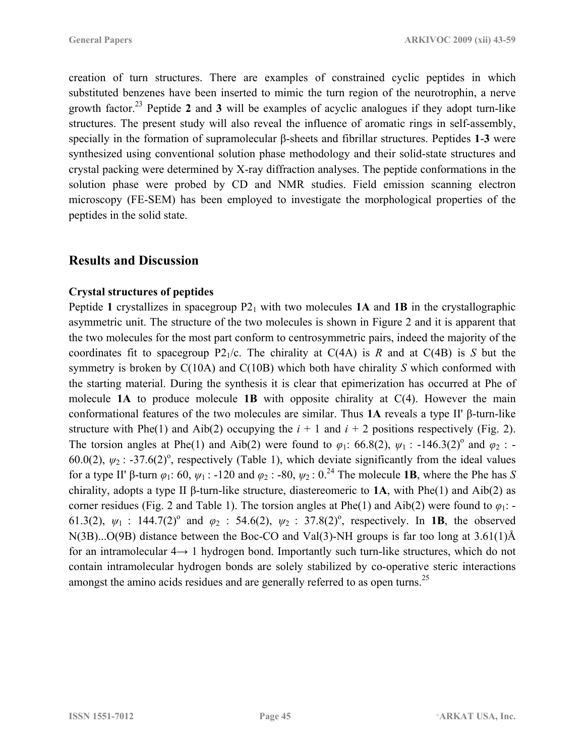creation of turn structures. There are examples of constrained cyclic peptides in which substituted benzenes have been inserted to mimic the turn region of the neurotrophin, a nerve growth factor.23 Peptide **2** and **3** will be examples of acyclic analogues if they adopt turn-like structures. The present study will also reveal the influence of aromatic rings in self-assembly, specially in the formation of supramolecular β-sheets and fibrillar structures. Peptides **1**-**3** were synthesized using conventional solution phase methodology and their solid-state structures and crystal packing were determined by X-ray diffraction analyses. The peptide conformations in the solution phase were probed by CD and NMR studies. Field emission scanning electron microscopy (FE-SEM) has been employed to investigate the morphological properties of the peptides in the solid state.

# **Results and Discussion**

### **Crystal structures of peptides**

Peptide 1 crystallizes in spacegroup  $P2_1$  with two molecules 1A and 1B in the crystallographic asymmetric unit. The structure of the two molecules is shown in Figure 2 and it is apparent that the two molecules for the most part conform to centrosymmetric pairs, indeed the majority of the coordinates fit to spacegroup  $P2_1/c$ . The chirality at  $C(4A)$  is *R* and at  $C(4B)$  is *S* but the symmetry is broken by C(10A) and C(10B) which both have chirality *S* which conformed with the starting material. During the synthesis it is clear that epimerization has occurred at Phe of molecule **1A** to produce molecule **1B** with opposite chirality at C(4). However the main conformational features of the two molecules are similar. Thus **1A** reveals a type II' β-turn-like structure with Phe(1) and Aib(2) occupying the  $i + 1$  and  $i + 2$  positions respectively (Fig. 2). The torsion angles at Phe(1) and Aib(2) were found to  $\varphi_1$ : 66.8(2),  $\psi_1$ : -146.3(2)<sup>o</sup> and  $\varphi_2$ : -60.0(2),  $\psi_2$ : -37.6(2)<sup>o</sup>, respectively (Table 1), which deviate significantly from the ideal values for a type II' β-turn  $\varphi_1$ : 60,  $\psi_1$ : -120 and  $\varphi_2$ : -80,  $\psi_2$ : 0.<sup>24</sup> The molecule **1B**, where the Phe has *S* chirality, adopts a type II β-turn-like structure, diastereomeric to **1A**, with Phe(1) and Aib(2) as corner residues (Fig. 2 and Table 1). The torsion angles at Phe(1) and Aib(2) were found to *φ*1: - 61.3(2),  $\psi_1$  : 144.7(2)<sup>o</sup> and  $\varphi_2$  : 54.6(2),  $\psi_2$  : 37.8(2)<sup>o</sup>, respectively. In **1B**, the observed N(3B)...O(9B) distance between the Boc-CO and Val(3)-NH groups is far too long at 3.61(1)Å for an intramolecular 4→ 1 hydrogen bond. Importantly such turn-like structures, which do not contain intramolecular hydrogen bonds are solely stabilized by co-operative steric interactions amongst the amino acids residues and are generally referred to as open turns.<sup>25</sup>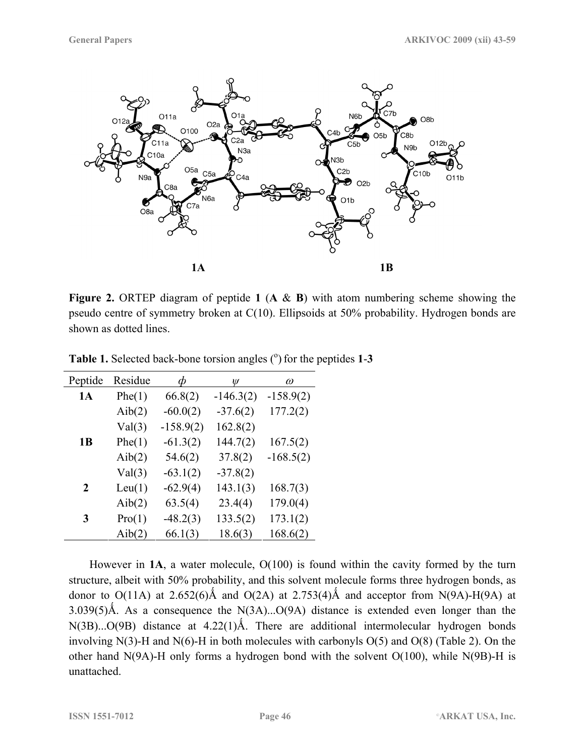

**Figure 2.** ORTEP diagram of peptide **1** (**A** & **B**) with atom numbering scheme showing the pseudo centre of symmetry broken at C(10). Ellipsoids at 50% probability. Hydrogen bonds are shown as dotted lines.

| Peptide   | Residue |             | Ψ           | $\omega$    |
|-----------|---------|-------------|-------------|-------------|
| <b>1A</b> | Phe(1)  | 66.8(2)     | $-146.3(2)$ | $-158.9(2)$ |
|           | Aib(2)  | $-60.0(2)$  | $-37.6(2)$  | 177.2(2)    |
|           | Val(3)  | $-158.9(2)$ | 162.8(2)    |             |
| 1 B       | Phe(1)  | $-61.3(2)$  | 144.7(2)    | 167.5(2)    |
|           | Aib(2)  | 54.6(2)     | 37.8(2)     | $-168.5(2)$ |
|           | Val(3)  | $-63.1(2)$  | $-37.8(2)$  |             |
| 2         | Leu(1)  | $-62.9(4)$  | 143.1(3)    | 168.7(3)    |
|           | Aib(2)  | 63.5(4)     | 23.4(4)     | 179.0(4)    |
| 3         | Pro(1)  | $-48.2(3)$  | 133.5(2)    | 173.1(2)    |
|           | Aib(2)  | 66.1(3)     | 18.6(3)     | 168.6(2)    |

Table 1. Selected back-bone torsion angles (<sup>o</sup>) for the peptides 1-3

 However in **1A**, a water molecule, O(100) is found within the cavity formed by the turn structure, albeit with 50% probability, and this solvent molecule forms three hydrogen bonds, as donor to  $O(11A)$  at 2.652(6)Å and  $O(2A)$  at 2.753(4)Å and acceptor from N(9A)-H(9A) at 3.039(5)Å. As a consequence the N(3A)... $O(9A)$  distance is extended even longer than the  $N(3B)...O(9B)$  distance at  $4.22(1)$ Å. There are additional intermolecular hydrogen bonds involving N(3)-H and N(6)-H in both molecules with carbonyls  $O(5)$  and  $O(8)$  (Table 2). On the other hand  $N(9A)$ -H only forms a hydrogen bond with the solvent  $O(100)$ , while  $N(9B)$ -H is unattached.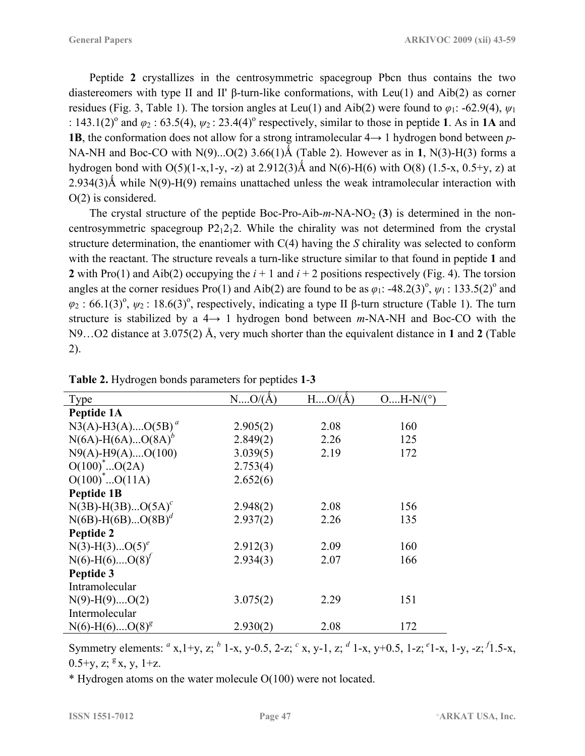Peptide **2** crystallizes in the centrosymmetric spacegroup Pbcn thus contains the two diastereomers with type II and II' β-turn-like conformations, with Leu(1) and Aib(2) as corner residues (Fig. 3, Table 1). The torsion angles at Leu(1) and Aib(2) were found to  $\varphi_1$ : -62.9(4),  $\psi_1$ :  $143.1(2)^\circ$  and  $\varphi_2$  :  $63.5(4)$ ,  $\psi_2$  :  $23.4(4)^\circ$  respectively, similar to those in peptide 1. As in 1A and **1B**, the conformation does not allow for a strong intramolecular  $4 \rightarrow 1$  hydrogen bond between *p*-NA-NH and Boc-CO with  $N(9)...O(2)$  3.66(1)Å (Table 2). However as in 1,  $N(3)$ -H(3) forms a hydrogen bond with  $O(5)(1-x,1-y, -z)$  at 2.912(3)Å and N(6)-H(6) with O(8) (1.5-x, 0.5+y, z) at  $2.934(3)$ Å while N(9)-H(9) remains unattached unless the weak intramolecular interaction with O(2) is considered.

The crystal structure of the peptide Boc-Pro-Aib- $m$ -NA-NO<sub>2</sub> (3) is determined in the noncentrosymmetric spacegroup  $P2_12_12$ . While the chirality was not determined from the crystal structure determination, the enantiomer with C(4) having the *S* chirality was selected to conform with the reactant. The structure reveals a turn-like structure similar to that found in peptide **1** and **2** with Pro(1) and Aib(2) occupying the  $i + 1$  and  $i + 2$  positions respectively (Fig. 4). The torsion angles at the corner residues Pro(1) and Aib(2) are found to be as  $\varphi_1$ : -48.2(3)<sup>o</sup>,  $\psi_1$ : 133.5(2)<sup>o</sup> and  $\varphi_2$ : 66.1(3)<sup>o</sup>,  $\psi_2$ : 18.6(3)<sup>o</sup>, respectively, indicating a type II β-turn structure (Table 1). The turn structure is stabilized by a 4→ 1 hydrogen bond between *m*-NA-NH and Boc-CO with the N9…O2 distance at 3.075(2) Å, very much shorter than the equivalent distance in **1** and **2** (Table 2).

| <b>Type</b>                      | $NO/(\AA)$ | $H$ $O/(\AA)$ | $OH-N/(°)$ |
|----------------------------------|------------|---------------|------------|
| Peptide 1A                       |            |               |            |
| $N3(A)$ -H3(A)O(5B) <sup>a</sup> | 2.905(2)   | 2.08          | 160        |
| $N(6A) - H(6A)O(8A)^{b}$         | 2.849(2)   | 2.26          | 125        |
| $N9(A)-H9(A)$ $O(100)$           | 3.039(5)   | 2.19          | 172        |
| $O(100)^*O(2A)$                  | 2.753(4)   |               |            |
| $O(100)^*O(11A)$                 | 2.652(6)   |               |            |
| Peptide 1B                       |            |               |            |
| $N(3B) - H(3B)O(5A)^c$           | 2.948(2)   | 2.08          | 156        |
| $N(6B) - H(6B)O(8B)^{d}$         | 2.937(2)   | 2.26          | 135        |
| Peptide 2                        |            |               |            |
| $N(3)-H(3)O(5)^e$                | 2.912(3)   | 2.09          | 160        |
| $N(6)-H(6)$ $O(8)^f$             | 2.934(3)   | 2.07          | 166        |
| Peptide 3                        |            |               |            |
| Intramolecular                   |            |               |            |
| $N(9)-H(9)$ $O(2)$               | 3.075(2)   | 2.29          | 151        |
| Intermolecular                   |            |               |            |
| $N(6)-H(6)$ O(8) <sup>8</sup>    | 2.930(2)   | 2.08          | 172        |

| Table 2. Hydrogen bonds parameters for peptides 1-3 |  |  |
|-----------------------------------------------------|--|--|
|                                                     |  |  |

Symmetry elements: *<sup>a</sup>* x,1+y, z; *<sup>b</sup>* 1-x, y-0.5, 2-z; *<sup>c</sup>* x, y-1, z; *<sup>d</sup>* 1-x, y+0.5, 1-z; *<sup>e</sup>* 1-x, 1-y, -z; *<sup>f</sup>* 1.5-x,  $0.5+y$ , z;  $8x$ , y, 1+z.

\* Hydrogen atoms on the water molecule O(100) were not located.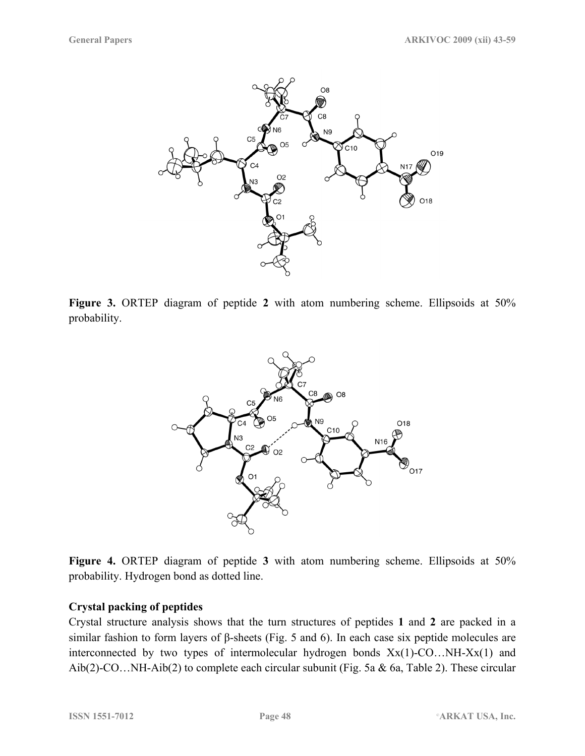

**Figure 3.** ORTEP diagram of peptide **2** with atom numbering scheme. Ellipsoids at 50% probability.



**Figure 4.** ORTEP diagram of peptide **3** with atom numbering scheme. Ellipsoids at 50% probability. Hydrogen bond as dotted line.

### **Crystal packing of peptides**

Crystal structure analysis shows that the turn structures of peptides **1** and **2** are packed in a similar fashion to form layers of β-sheets (Fig. 5 and 6). In each case six peptide molecules are interconnected by two types of intermolecular hydrogen bonds  $Xx(1)-CO...NH-XX(1)$  and Aib(2)-CO…NH-Aib(2) to complete each circular subunit (Fig. 5a & 6a, Table 2). These circular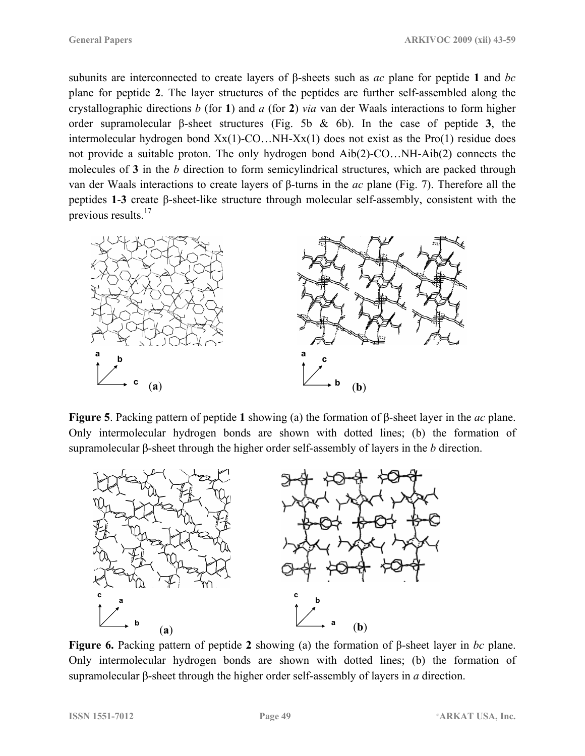subunits are interconnected to create layers of β-sheets such as *ac* plane for peptide **1** and *bc* plane for peptide **2**. The layer structures of the peptides are further self-assembled along the crystallographic directions *b* (for **1**) and *a* (for **2**) *via* van der Waals interactions to form higher order supramolecular β-sheet structures (Fig. 5b & 6b). In the case of peptide **3**, the intermolecular hydrogen bond Xx(1)-CO…NH-Xx(1) does not exist as the Pro(1) residue does not provide a suitable proton. The only hydrogen bond Aib(2)-CO…NH-Aib(2) connects the molecules of **3** in the *b* direction to form semicylindrical structures, which are packed through van der Waals interactions to create layers of β-turns in the *ac* plane (Fig. 7). Therefore all the peptides **1**-**3** create β-sheet-like structure through molecular self-assembly, consistent with the previous results.<sup>17</sup>



**Figure 5**. Packing pattern of peptide **1** showing (a) the formation of β-sheet layer in the *ac* plane. Only intermolecular hydrogen bonds are shown with dotted lines; (b) the formation of supramolecular β-sheet through the higher order self-assembly of layers in the *b* direction.



**Figure 6.** Packing pattern of peptide **2** showing (a) the formation of β-sheet layer in *bc* plane. Only intermolecular hydrogen bonds are shown with dotted lines; (b) the formation of supramolecular β-sheet through the higher order self-assembly of layers in *a* direction.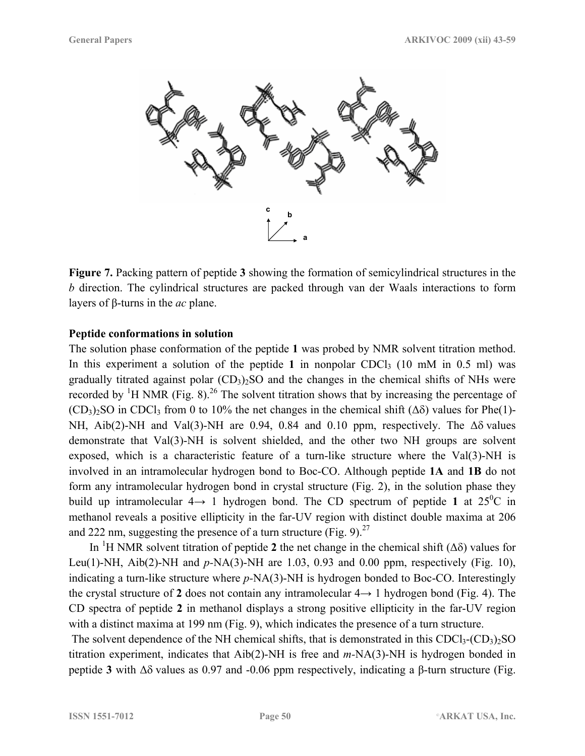

**Figure 7.** Packing pattern of peptide **3** showing the formation of semicylindrical structures in the *b* direction. The cylindrical structures are packed through van der Waals interactions to form layers of β-turns in the *ac* plane.

#### **Peptide conformations in solution**

The solution phase conformation of the peptide **1** was probed by NMR solvent titration method. In this experiment a solution of the peptide 1 in nonpolar CDCl<sub>3</sub> (10 mM in 0.5 ml) was gradually titrated against polar  $(CD_3)$ . SO and the changes in the chemical shifts of NHs were recorded by <sup>1</sup>H NMR (Fig. 8).<sup>26</sup> The solvent titration shows that by increasing the percentage of  $(CD_3)$ <sub>2</sub>SO in CDCl<sub>3</sub> from 0 to 10% the net changes in the chemical shift ( $\Delta\delta$ ) values for Phe(1)-NH, Aib(2)-NH and Val(3)-NH are 0.94, 0.84 and 0.10 ppm, respectively. The  $\Delta\delta$  values demonstrate that Val(3)-NH is solvent shielded, and the other two NH groups are solvent exposed, which is a characteristic feature of a turn-like structure where the Val(3)-NH is involved in an intramolecular hydrogen bond to Boc-CO. Although peptide **1A** and **1B** do not form any intramolecular hydrogen bond in crystal structure (Fig. 2), in the solution phase they build up intramolecular  $4 \rightarrow 1$  hydrogen bond. The CD spectrum of peptide 1 at  $25^{\circ}$ C in methanol reveals a positive ellipticity in the far-UV region with distinct double maxima at 206 and 222 nm, suggesting the presence of a turn structure (Fig. 9).<sup>27</sup>

In <sup>1</sup>H NMR solvent titration of peptide 2 the net change in the chemical shift ( $\Delta\delta$ ) values for Leu(1)-NH, Aib(2)-NH and *p-*NA(3)-NH are 1.03, 0.93 and 0.00 ppm, respectively (Fig. 10), indicating a turn-like structure where *p-*NA(3)-NH is hydrogen bonded to Boc-CO. Interestingly the crystal structure of 2 does not contain any intramolecular  $4 \rightarrow 1$  hydrogen bond (Fig. 4). The CD spectra of peptide **2** in methanol displays a strong positive ellipticity in the far-UV region with a distinct maxima at 199 nm (Fig. 9), which indicates the presence of a turn structure.

The solvent dependence of the NH chemical shifts, that is demonstrated in this  $CDCl<sub>3</sub>(CD<sub>3</sub>)<sub>2</sub>SO$ titration experiment, indicates that Aib(2)-NH is free and *m-*NA(3)-NH is hydrogen bonded in peptide **3** with ∆δ values as 0.97 and -0.06 ppm respectively, indicating a β-turn structure (Fig.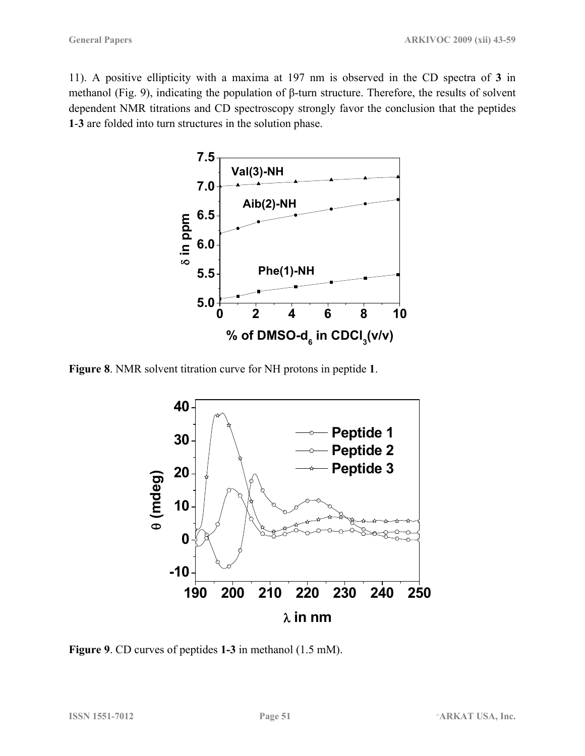11). A positive ellipticity with a maxima at 197 nm is observed in the CD spectra of **3** in methanol (Fig. 9), indicating the population of β-turn structure. Therefore, the results of solvent dependent NMR titrations and CD spectroscopy strongly favor the conclusion that the peptides **1**-**3** are folded into turn structures in the solution phase.



**Figure 8**. NMR solvent titration curve for NH protons in peptide **1**.



**Figure 9**. CD curves of peptides **1-3** in methanol (1.5 mM).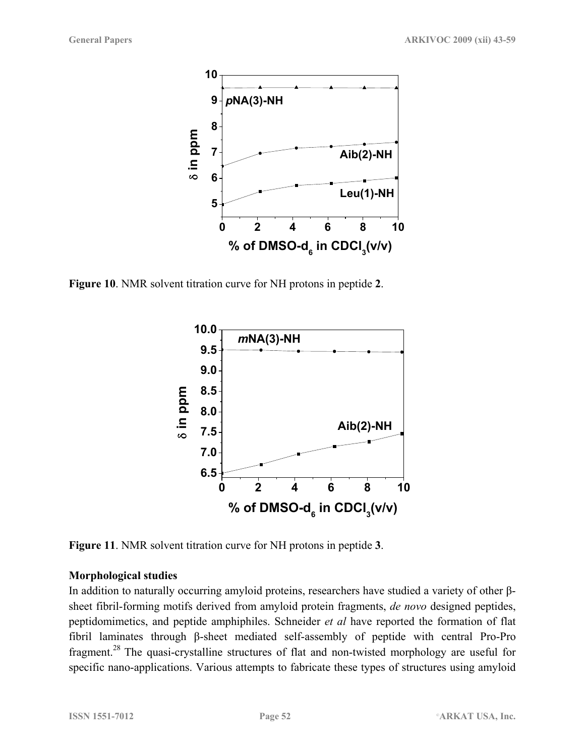

**Figure 10**. NMR solvent titration curve for NH protons in peptide **2**.



**Figure 11**. NMR solvent titration curve for NH protons in peptide **3**.

### **Morphological studies**

In addition to naturally occurring amyloid proteins, researchers have studied a variety of other βsheet fibril-forming motifs derived from amyloid protein fragments, *de novo* designed peptides, peptidomimetics, and peptide amphiphiles. Schneider *et al* have reported the formation of flat fibril laminates through β-sheet mediated self-assembly of peptide with central Pro-Pro fragment.28 The quasi-crystalline structures of flat and non-twisted morphology are useful for specific nano-applications. Various attempts to fabricate these types of structures using amyloid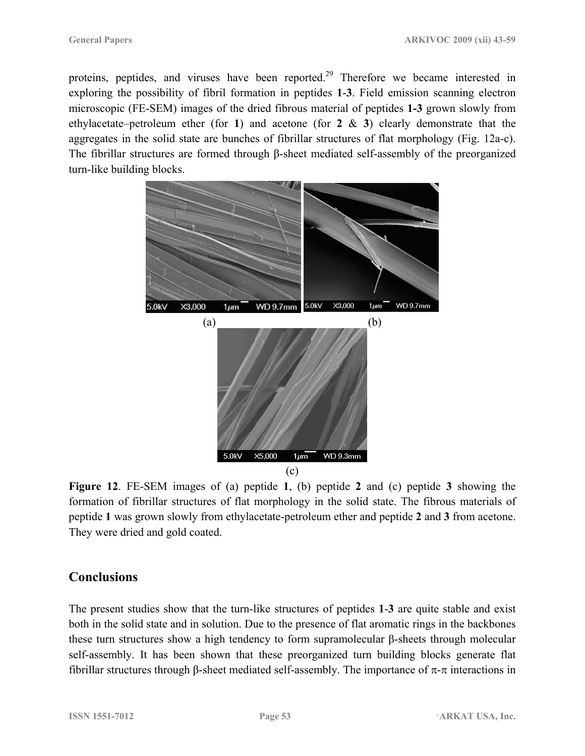proteins, peptides, and viruses have been reported.<sup>29</sup> Therefore we became interested in exploring the possibility of fibril formation in peptides **1**-**3**. Field emission scanning electron microscopic (FE-SEM) images of the dried fibrous material of peptides **1-3** grown slowly from ethylacetate–petroleum ether (for **1**) and acetone (for **2** & **3**) clearly demonstrate that the aggregates in the solid state are bunches of fibrillar structures of flat morphology (Fig. 12a-c). The fibrillar structures are formed through β-sheet mediated self-assembly of the preorganized turn-like building blocks.



**Figure 12**. FE-SEM images of (a) peptide **1**, (b) peptide **2** and (c) peptide **3** showing the formation of fibrillar structures of flat morphology in the solid state. The fibrous materials of peptide **1** was grown slowly from ethylacetate-petroleum ether and peptide **2** and **3** from acetone. They were dried and gold coated.

# **Conclusions**

The present studies show that the turn-like structures of peptides **1**-**3** are quite stable and exist both in the solid state and in solution. Due to the presence of flat aromatic rings in the backbones these turn structures show a high tendency to form supramolecular β-sheets through molecular self-assembly. It has been shown that these preorganized turn building blocks generate flat fibrillar structures through β-sheet mediated self-assembly. The importance of π-π interactions in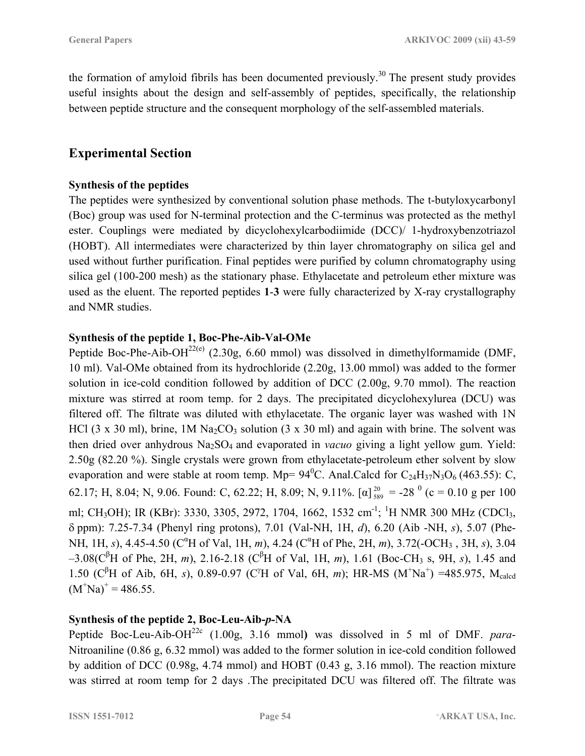the formation of amyloid fibrils has been documented previously.<sup>30</sup> The present study provides useful insights about the design and self-assembly of peptides, specifically, the relationship between peptide structure and the consequent morphology of the self-assembled materials.

# **Experimental Section**

### **Synthesis of the peptides**

The peptides were synthesized by conventional solution phase methods. The t-butyloxycarbonyl (Boc) group was used for N-terminal protection and the C-terminus was protected as the methyl ester. Couplings were mediated by dicyclohexylcarbodiimide (DCC)/ 1-hydroxybenzotriazol (HOBT). All intermediates were characterized by thin layer chromatography on silica gel and used without further purification. Final peptides were purified by column chromatography using silica gel (100-200 mesh) as the stationary phase. Ethylacetate and petroleum ether mixture was used as the eluent. The reported peptides **1**-**3** were fully characterized by X-ray crystallography and NMR studies.

## **Synthesis of the peptide 1, Boc-Phe-Aib-Val-OMe**

Peptide Boc-Phe-Aib-OH<sup>22(e)</sup> (2.30g, 6.60 mmol) was dissolved in dimethylformamide (DMF, 10 ml). Val-OMe obtained from its hydrochloride (2.20g, 13.00 mmol) was added to the former solution in ice-cold condition followed by addition of DCC (2.00g, 9.70 mmol). The reaction mixture was stirred at room temp. for 2 days. The precipitated dicyclohexylurea (DCU) was filtered off. The filtrate was diluted with ethylacetate. The organic layer was washed with 1N HCl (3 x 30 ml), brine, 1M Na<sub>2</sub>CO<sub>3</sub> solution (3 x 30 ml) and again with brine. The solvent was then dried over anhydrous Na<sub>2</sub>SO<sub>4</sub> and evaporated in *vacuo* giving a light yellow gum. Yield: 2.50g (82.20 %). Single crystals were grown from ethylacetate-petroleum ether solvent by slow evaporation and were stable at room temp. Mp=  $94^{\circ}$ C. Anal.Calcd for C<sub>24</sub>H<sub>37</sub>N<sub>3</sub>O<sub>6</sub> (463.55): C, 62.17; H, 8.04; N, 9.06. Found: C, 62.22; H, 8.09; N, 9.11%. [ $\alpha$ ]<sup>20</sup><sub>589</sub> = -28<sup>0</sup> (c = 0.10 g per 100 ml; CH<sub>3</sub>OH); IR (KBr): 3330, 3305, 2972, 1704, 1662, 1532 cm<sup>-1</sup>; <sup>1</sup>H NMR 300 MHz (CDCl<sub>3</sub>, δ ppm): 7.25-7.34 (Phenyl ring protons), 7.01 (Val-NH, 1H, *d*), 6.20 (Aib -NH, *s*), 5.07 (Phe-NH, 1H, *s*), 4.45-4.50 (C<sup>"</sup>H of Val, 1H, *m*), 4.24 (C<sup>"</sup>H of Phe, 2H, *m*), 3.72(-OCH<sub>3</sub>, 3H, *s*), 3.04  $-3.08(C^{6}H$  of Phe, 2H, *m*), 2.16-2.18 (C<sup>β</sup>H of Val, 1H, *m*), 1.61 (Boc-CH<sub>3</sub> s, 9H, *s*), 1.45 and 1.50 (C<sup>β</sup>H of Aib, 6H, *s*), 0.89-0.97 (C<sup>γ</sup>H of Val, 6H, *m*); HR-MS (M<sup>+</sup>Na<sup>+</sup>) =485.975, M<sub>calcd</sub>  $(M^+Na)^+ = 486.55$ .

## **Synthesis of the peptide 2, Boc-Leu-Aib-***p-***NA**

Peptide Boc-Leu-Aib-OH22c (1.00g, 3.16 mmol**)** was dissolved in 5 ml of DMF. *para*-Nitroaniline (0.86 g, 6.32 mmol) was added to the former solution in ice-cold condition followed by addition of DCC (0.98g, 4.74 mmol) and HOBT (0.43 g, 3.16 mmol). The reaction mixture was stirred at room temp for 2 days .The precipitated DCU was filtered off. The filtrate was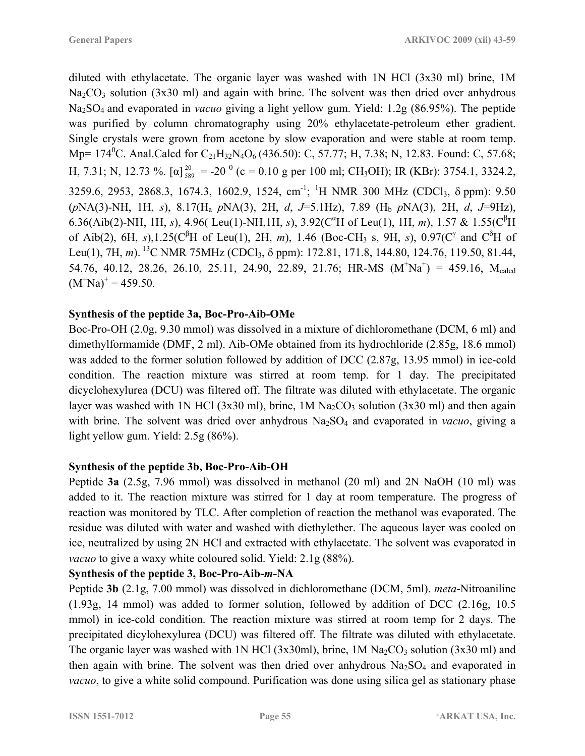diluted with ethylacetate. The organic layer was washed with 1N HCl (3x30 ml) brine, 1M  $Na<sub>2</sub>CO<sub>3</sub>$  solution (3x30 ml) and again with brine. The solvent was then dried over anhydrous Na2SO4 and evaporated in *vacuo* giving a light yellow gum. Yield: 1.2g (86.95%). The peptide was purified by column chromatography using 20% ethylacetate-petroleum ether gradient. Single crystals were grown from acetone by slow evaporation and were stable at room temp. Mp= 174<sup>0</sup>C. Anal.Calcd for C<sub>21</sub>H<sub>32</sub>N<sub>4</sub>O<sub>6</sub> (436.50): C, 57.77; H, 7.38; N, 12.83. Found: C, 57.68; H, 7.31; N, 12.73 %.  $[\alpha]_{589}^{20} = -20^0$  (c = 0.10 g per 100 ml; CH<sub>3</sub>OH); IR (KBr): 3754.1, 3324.2, 3259.6, 2953, 2868.3, 1674.3, 1602.9, 1524, cm<sup>-1</sup>; <sup>1</sup>H NMR 300 MHz (CDCl<sub>3</sub>,  $\delta$  ppm): 9.50 (*p*NA(3)-NH, 1H, *s*), 8.17(Ha *p*NA(3), 2H, *d*, *J*=5.1Hz), 7.89 (Hb *p*NA(3), 2H, *d*, *J*=9Hz), 6.36(Aib(2)-NH, 1H, *s*), 4.96(Leu(1)-NH, 1H, *s*), 3.92( $C^{\alpha}H$  of Leu(1), 1H, *m*), 1.57 & 1.55( $C^{\beta}H$ of Aib(2), 6H, *s*),1.25( $C^{\beta}H$  of Leu(1), 2H, *m*), 1.46 (Boc-CH<sub>3</sub> s, 9H, *s*), 0.97( $C^{\gamma}$  and  $C^{\delta}H$  of Leu(1), 7H, *m*). <sup>13</sup>C NMR 75MHz (CDCl<sub>3</sub>, δ ppm): 172.81, 171.8, 144.80, 124.76, 119.50, 81.44, 54.76, 40.12, 28.26, 26.10, 25.11, 24.90, 22.89, 21.76; HR-MS  $(M^{\dagger}Na^{\dagger}) = 459.16$ ,  $M_{\text{caled}}$  $(M^+Na)^+ = 459.50.$ 

#### **Synthesis of the peptide 3a, Boc-Pro-Aib-OMe**

Boc-Pro-OH (2.0g, 9.30 mmol) was dissolved in a mixture of dichloromethane (DCM, 6 ml) and dimethylformamide (DMF, 2 ml). Aib-OMe obtained from its hydrochloride (2.85g, 18.6 mmol) was added to the former solution followed by addition of DCC (2.87g, 13.95 mmol) in ice-cold condition. The reaction mixture was stirred at room temp. for 1 day. The precipitated dicyclohexylurea (DCU) was filtered off. The filtrate was diluted with ethylacetate. The organic layer was washed with 1N HCl (3x30 ml), brine, 1M  $Na<sub>2</sub>CO<sub>3</sub>$  solution (3x30 ml) and then again with brine. The solvent was dried over anhydrous Na<sub>2</sub>SO<sub>4</sub> and evaporated in *vacuo*, giving a light yellow gum. Yield: 2.5g (86%).

#### **Synthesis of the peptide 3b, Boc-Pro-Aib-OH**

Peptide **3a** (2.5g, 7.96 mmol) was dissolved in methanol (20 ml) and 2N NaOH (10 ml) was added to it. The reaction mixture was stirred for 1 day at room temperature. The progress of reaction was monitored by TLC. After completion of reaction the methanol was evaporated. The residue was diluted with water and washed with diethylether. The aqueous layer was cooled on ice, neutralized by using 2N HCl and extracted with ethylacetate. The solvent was evaporated in *vacuo* to give a waxy white coloured solid. Yield: 2.1g (88%).

#### **Synthesis of the peptide 3, Boc-Pro-Aib-***m-***NA**

Peptide **3b** (2.1g, 7.00 mmol) was dissolved in dichloromethane (DCM, 5ml). *meta*-Nitroaniline (1.93g, 14 mmol) was added to former solution, followed by addition of DCC (2.16g, 10.5 mmol) in ice-cold condition. The reaction mixture was stirred at room temp for 2 days. The precipitated dicylohexylurea (DCU) was filtered off. The filtrate was diluted with ethylacetate. The organic layer was washed with 1N HCl (3x30ml), brine, 1M  $\text{Na}_2\text{CO}_3$  solution (3x30 ml) and then again with brine. The solvent was then dried over anhydrous  $Na<sub>2</sub>SO<sub>4</sub>$  and evaporated in *vacuo*, to give a white solid compound. Purification was done using silica gel as stationary phase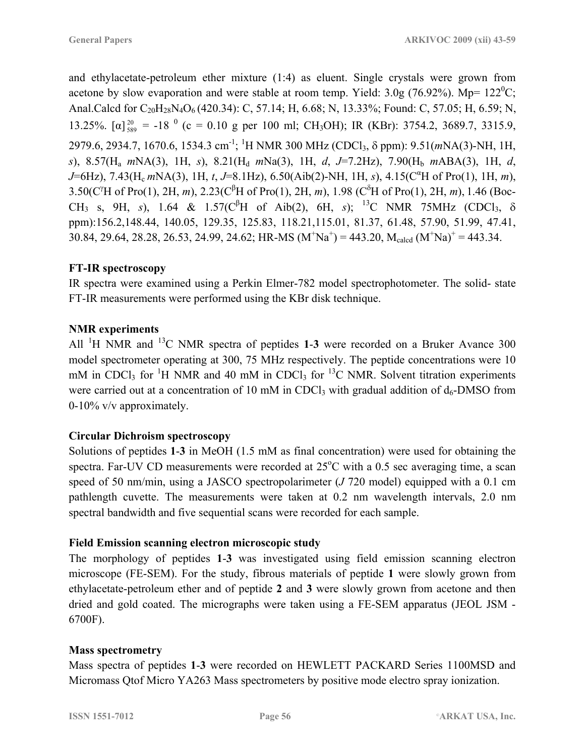and ethylacetate-petroleum ether mixture (1:4) as eluent. Single crystals were grown from acetone by slow evaporation and were stable at room temp. Yield: 3.0g (76.92%). Mp=  $122^{\circ}$ C; Anal.Calcd for C<sub>20</sub>H<sub>28</sub>N<sub>4</sub>O<sub>6</sub> (420.34): C, 57.14; H, 6.68; N, 13.33%; Found: C, 57.05; H, 6.59; N, 13.25%.  $\lbrack \alpha \rbrack_{589}^{20} = -18^{0}$  (c = 0.10 g per 100 ml; CH<sub>3</sub>OH); IR (KBr): 3754.2, 3689.7, 3315.9, 2979.6, 2934.7, 1670.6, 1534.3 cm-1; 1 H NMR 300 MHz (CDCl3, δ ppm): 9.51(*m*NA(3)-NH, 1H, *s*), 8.57(Ha *m*NA(3), 1H, *s*), 8.21(Hd *m*Na(3), 1H, *d*, *J*=7.2Hz), 7.90(Hb *m*ABA(3), 1H, *d*, *J*=6Hz), 7.43(H<sub>c</sub> *m*NA(3), 1H, *t*, *J*=8.1Hz), 6.50(Aib(2)-NH, 1H, *s*), 4.15(C<sup>a</sup>H of Pro(1), 1H, *m*), 3.50(C<sup>γ</sup>H of Pro(1), 2H, *m*), 2.23(C<sup>β</sup>H of Pro(1), 2H, *m*), 1.98 (C<sup>δ</sup>H of Pro(1), 2H, *m*), 1.46 (Boc-CH<sub>3</sub> s, 9H, *s*), 1.64 & 1.57(C<sup>β</sup>H of Aib(2), 6H, *s*); <sup>13</sup>C NMR 75MHz (CDCl<sub>3</sub>, δ ppm):156.2,148.44, 140.05, 129.35, 125.83, 118.21,115.01, 81.37, 61.48, 57.90, 51.99, 47.41, 30.84, 29.64, 28.28, 26.53, 24.99, 24.62; HR-MS  $(M^{\dagger}Na^{\dagger}) = 443.20$ ,  $M_{\text{cald}} (M^{\dagger}Na)^{\dagger} = 443.34$ .

## **FT-IR spectroscopy**

IR spectra were examined using a Perkin Elmer-782 model spectrophotometer. The solid- state FT-IR measurements were performed using the KBr disk technique.

## **NMR experiments**

All <sup>1</sup>H NMR and <sup>13</sup>C NMR spectra of peptides **1-3** were recorded on a Bruker Avance 300 model spectrometer operating at 300, 75 MHz respectively. The peptide concentrations were 10 mM in CDCl<sub>3</sub> for <sup>1</sup>H NMR and 40 mM in CDCl<sub>3</sub> for <sup>13</sup>C NMR. Solvent titration experiments were carried out at a concentration of 10 mM in CDCl<sub>3</sub> with gradual addition of  $d_6$ -DMSO from 0-10% v/v approximately.

## **Circular Dichroism spectroscopy**

Solutions of peptides **1**-**3** in MeOH (1.5 mM as final concentration) were used for obtaining the spectra. Far-UV CD measurements were recorded at  $25^{\circ}$ C with a 0.5 sec averaging time, a scan speed of 50 nm/min, using a JASCO spectropolarimeter (*J* 720 model) equipped with a 0.1 cm pathlength cuvette. The measurements were taken at 0.2 nm wavelength intervals, 2.0 nm spectral bandwidth and five sequential scans were recorded for each sample.

## **Field Emission scanning electron microscopic study**

The morphology of peptides **1**-**3** was investigated using field emission scanning electron microscope (FE-SEM). For the study, fibrous materials of peptide **1** were slowly grown from ethylacetate-petroleum ether and of peptide **2** and **3** were slowly grown from acetone and then dried and gold coated. The micrographs were taken using a FE-SEM apparatus (JEOL JSM - 6700F).

### **Mass spectrometry**

Mass spectra of peptides **1**-**3** were recorded on HEWLETT PACKARD Series 1100MSD and Micromass Qtof Micro YA263 Mass spectrometers by positive mode electro spray ionization.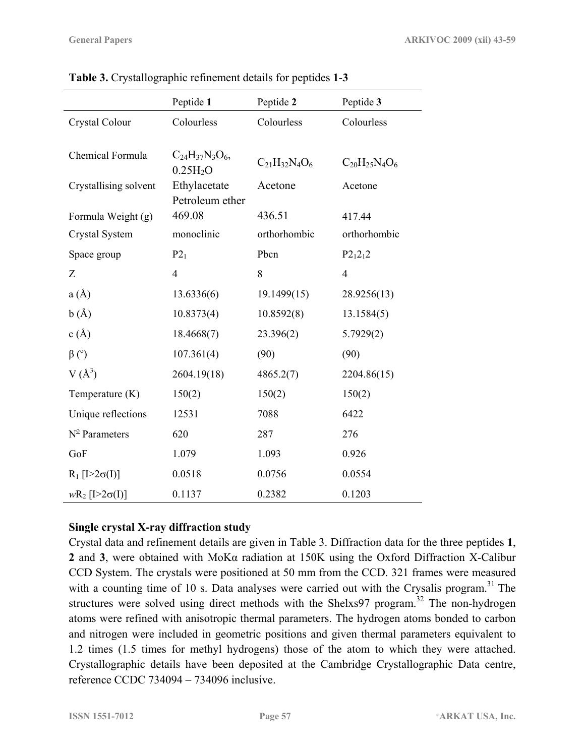|                           | Peptide 1                                    | Peptide 2            | Peptide 3            |
|---------------------------|----------------------------------------------|----------------------|----------------------|
| Crystal Colour            | Colourless                                   | Colourless           | Colourless           |
|                           |                                              |                      |                      |
| Chemical Formula          | $C_{24}H_{37}N_3O_6$<br>0.25H <sub>2</sub> O | $C_{21}H_{32}N_4O_6$ | $C_{20}H_{25}N_4O_6$ |
| Crystallising solvent     | Ethylacetate                                 | Acetone              | Acetone              |
|                           | Petroleum ether                              |                      |                      |
| Formula Weight (g)        | 469.08                                       | 436.51               | 417.44               |
| Crystal System            | monoclinic                                   | orthorhombic         | orthorhombic         |
| Space group               | $P2_1$                                       | Pbcn                 | $P2_12_12$           |
| Z                         | $\overline{4}$                               | 8                    | $\overline{4}$       |
| a(A)                      | 13.6336(6)                                   | 19.1499(15)          | 28.9256(13)          |
| b(A)                      | 10.8373(4)                                   | 10.8592(8)           | 13.1584(5)           |
| c(A)                      | 18.4668(7)                                   | 23.396(2)            | 5.7929(2)            |
| $\beta$ ( $\degree$ )     | 107.361(4)                                   | (90)                 | (90)                 |
| $V(A^3)$                  | 2604.19(18)                                  | 4865.2(7)            | 2204.86(15)          |
| Temperature (K)           | 150(2)                                       | 150(2)               | 150(2)               |
| Unique reflections        | 12531                                        | 7088                 | 6422                 |
| $N^{\circ}$ Parameters    | 620                                          | 287                  | 276                  |
| GoF                       | 1.079                                        | 1.093                | 0.926                |
| $R_1$ [I>2 $\sigma(I)$ ]  | 0.0518                                       | 0.0756               | 0.0554               |
| $wR_2$ [[>2 $\sigma$ (I)] | 0.1137                                       | 0.2382               | 0.1203               |

**Table 3.** Crystallographic refinement details for peptides **1**-**3**

### **Single crystal X-ray diffraction study**

Crystal data and refinement details are given in Table 3. Diffraction data for the three peptides **1**, **2** and **3**, were obtained with MoKα radiation at 150K using the Oxford Diffraction X-Calibur CCD System. The crystals were positioned at 50 mm from the CCD. 321 frames were measured with a counting time of 10 s. Data analyses were carried out with the Crysalis program.<sup>31</sup> The structures were solved using direct methods with the Shelxs97 program.<sup>32</sup> The non-hydrogen atoms were refined with anisotropic thermal parameters. The hydrogen atoms bonded to carbon and nitrogen were included in geometric positions and given thermal parameters equivalent to 1.2 times (1.5 times for methyl hydrogens) those of the atom to which they were attached. Crystallographic details have been deposited at the Cambridge Crystallographic Data centre, reference CCDC 734094 – 734096 inclusive.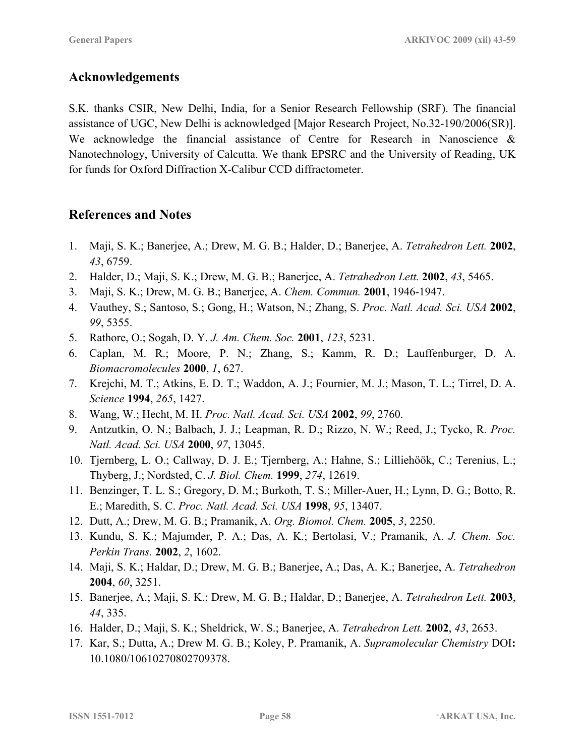# **Acknowledgements**

S.K. thanks CSIR, New Delhi, India, for a Senior Research Fellowship (SRF). The financial assistance of UGC, New Delhi is acknowledged [Major Research Project, No.32-190/2006(SR)]. We acknowledge the financial assistance of Centre for Research in Nanoscience & Nanotechnology, University of Calcutta. We thank EPSRC and the University of Reading, UK for funds for Oxford Diffraction X-Calibur CCD diffractometer.

# **References and Notes**

- 1. Maji, S. K.; Banerjee, A.; Drew, M. G. B.; Halder, D.; Banerjee, A. *Tetrahedron Lett.* **2002**, *43*, 6759.
- 2. Halder, D.; Maji, S. K.; Drew, M. G. B.; Banerjee, A. *Tetrahedron Lett.* **2002**, *43*, 5465.
- 3. Maji, S. K.; Drew, M. G. B.; Banerjee, A. *Chem. Commun.* **2001**, 1946-1947.
- 4. Vauthey, S.; Santoso, S.; Gong, H.; Watson, N.; Zhang, S. *Proc. Natl. Acad. Sci. USA* **2002**, *99*, 5355.
- 5. Rathore, O.; Sogah, D. Y. *J. Am. Chem. Soc.* **2001**, *123*, 5231.
- 6. Caplan, M. R.; Moore, P. N.; Zhang, S.; Kamm, R. D.; Lauffenburger, D. A. *Biomacromolecules* **2000**, *1*, 627.
- 7. Krejchi, M. T.; Atkins, E. D. T.; Waddon, A. J.; Fournier, M. J.; Mason, T. L.; Tirrel, D. A. *Science* **1994**, *265*, 1427.
- 8. Wang, W.; Hecht, M. H. *Proc. Natl. Acad. Sci. USA* **2002**, *99*, 2760.
- 9. Antzutkin, O. N.; Balbach, J. J.; Leapman, R. D.; Rizzo, N. W.; Reed, J.; Tycko, R. *Proc. Natl. Acad. Sci. USA* **2000**, *97*, 13045.
- 10. Tjernberg, L. O.; Callway, D. J. E.; Tjernberg, A.; Hahne, S.; Lilliehöök, C.; Terenius, L.; Thyberg, J.; Nordsted, C. *J. Biol. Chem.* **1999**, *274*, 12619.
- 11. Benzinger, T. L. S.; Gregory, D. M.; Burkoth, T. S.; Miller-Auer, H.; Lynn, D. G.; Botto, R. E.; Maredith, S. C. *Proc. Natl. Acad. Sci. USA* **1998**, *95*, 13407.
- 12. Dutt, A.; Drew, M. G. B.; Pramanik, A. *Org. Biomol. Chem.* **2005**, *3*, 2250.
- 13. Kundu, S. K.; Majumder, P. A.; Das, A. K.; Bertolasi, V.; Pramanik, A. *J. Chem. Soc. Perkin Trans.* **2002**, *2*, 1602.
- 14. Maji, S. K.; Haldar, D.; Drew, M. G. B.; Banerjee, A.; Das, A. K.; Banerjee, A. *Tetrahedron* **2004**, *60*, 3251.
- 15. Banerjee, A.; Maji, S. K.; Drew, M. G. B.; Haldar, D.; Banerjee, A. *Tetrahedron Lett.* **2003**, *44*, 335.
- 16. Halder, D.; Maji, S. K.; Sheldrick, W. S.; Banerjee, A. *Tetrahedron Lett.* **2002**, *43*, 2653.
- 17. Kar, S.; Dutta, A.; Drew M. G. B.; Koley, P. Pramanik, A. *Supramolecular Chemistry* DOI**:** 10.1080/10610270802709378.